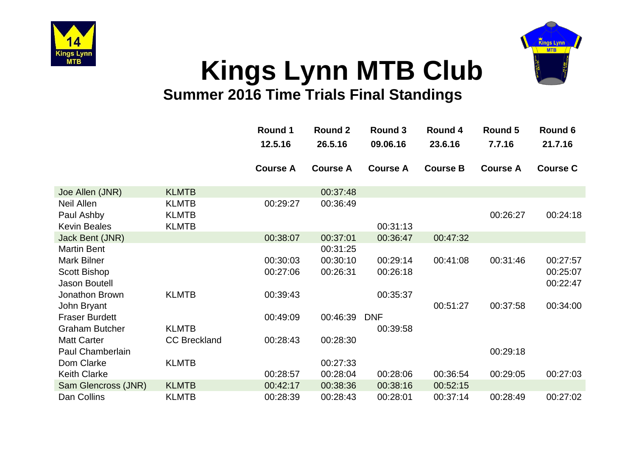



## **Kings Lynn MTB Club Summer 2016 Time Trials Final Standings**

|                                                                                  |                                              | <b>Round 1</b><br>12.5.16 | <b>Round 2</b><br>26.5.16        | Round 3<br>09.06.16    | Round 4<br>23.6.16 | Round 5<br>7.7.16 | Round 6<br>21.7.16               |
|----------------------------------------------------------------------------------|----------------------------------------------|---------------------------|----------------------------------|------------------------|--------------------|-------------------|----------------------------------|
|                                                                                  |                                              | <b>Course A</b>           | <b>Course A</b>                  | <b>Course A</b>        | <b>Course B</b>    | <b>Course A</b>   | <b>Course C</b>                  |
| Joe Allen (JNR)                                                                  | <b>KLMTB</b>                                 |                           | 00:37:48                         |                        |                    |                   |                                  |
| <b>Neil Allen</b><br>Paul Ashby<br><b>Kevin Beales</b>                           | <b>KLMTB</b><br><b>KLMTB</b><br><b>KLMTB</b> | 00:29:27                  | 00:36:49                         | 00:31:13               |                    | 00:26:27          | 00:24:18                         |
| Jack Bent (JNR)                                                                  |                                              | 00:38:07                  | 00:37:01                         | 00:36:47               | 00:47:32           |                   |                                  |
| <b>Martin Bent</b><br><b>Mark Bilner</b><br>Scott Bishop<br><b>Jason Boutell</b> |                                              | 00:30:03<br>00:27:06      | 00:31:25<br>00:30:10<br>00:26:31 | 00:29:14<br>00:26:18   | 00:41:08           | 00:31:46          | 00:27:57<br>00:25:07<br>00:22:47 |
| Jonathon Brown<br>John Bryant                                                    | <b>KLMTB</b>                                 | 00:39:43                  |                                  | 00:35:37               | 00:51:27           | 00:37:58          | 00:34:00                         |
| <b>Fraser Burdett</b><br><b>Graham Butcher</b><br><b>Matt Carter</b>             | <b>KLMTB</b><br><b>CC Breckland</b>          | 00:49:09<br>00:28:43      | 00:46:39<br>00:28:30             | <b>DNF</b><br>00:39:58 |                    |                   |                                  |
| Paul Chamberlain                                                                 |                                              |                           |                                  |                        |                    | 00:29:18          |                                  |
| Dom Clarke<br><b>Keith Clarke</b>                                                | <b>KLMTB</b>                                 | 00:28:57                  | 00:27:33<br>00:28:04             | 00:28:06               | 00:36:54           | 00:29:05          | 00:27:03                         |
| Sam Glencross (JNR)                                                              | <b>KLMTB</b>                                 | 00:42:17                  | 00:38:36                         | 00:38:16               | 00:52:15           |                   |                                  |
| Dan Collins                                                                      | <b>KLMTB</b>                                 | 00:28:39                  | 00:28:43                         | 00:28:01               | 00:37:14           | 00:28:49          | 00:27:02                         |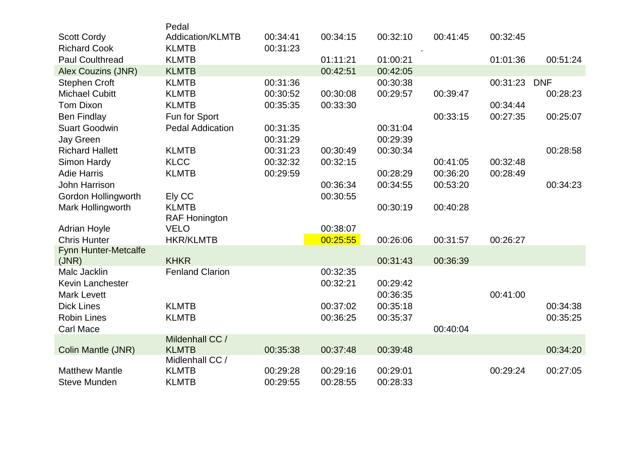|                        | Pedal                           |          |          |          |          |          |            |
|------------------------|---------------------------------|----------|----------|----------|----------|----------|------------|
| <b>Scott Cordy</b>     | <b>Addication/KLMTB</b>         | 00:34:41 | 00:34:15 | 00:32:10 | 00:41:45 | 00:32:45 |            |
| <b>Richard Cook</b>    | <b>KLMTB</b>                    | 00:31:23 |          |          |          |          |            |
| <b>Paul Coulthread</b> | <b>KLMTB</b>                    |          | 01:11:21 | 01:00:21 |          | 01:01:36 | 00:51:24   |
| Alex Couzins (JNR)     | <b>KLMTB</b>                    |          | 00:42:51 | 00:42:05 |          |          |            |
| <b>Stephen Croft</b>   | <b>KLMTB</b>                    | 00:31:36 |          | 00:30:38 |          | 00:31:23 | <b>DNF</b> |
| <b>Michael Cubitt</b>  | <b>KLMTB</b>                    | 00:30:52 | 00:30:08 | 00:29:57 | 00:39:47 |          | 00:28:23   |
| <b>Tom Dixon</b>       | <b>KLMTB</b>                    | 00:35:35 | 00:33:30 |          |          | 00:34:44 |            |
| <b>Ben Findlay</b>     | Fun for Sport                   |          |          |          | 00:33:15 | 00:27:35 | 00:25:07   |
| <b>Suart Goodwin</b>   | <b>Pedal Addication</b>         | 00:31:35 |          | 00:31:04 |          |          |            |
| Jay Green              |                                 | 00:31:29 |          | 00:29:39 |          |          |            |
| <b>Richard Hallett</b> | <b>KLMTB</b>                    | 00:31:23 | 00:30:49 | 00:30:34 |          |          | 00:28:58   |
| Simon Hardy            | <b>KLCC</b>                     | 00:32:32 | 00:32:15 |          | 00:41:05 | 00:32:48 |            |
| <b>Adie Harris</b>     | <b>KLMTB</b>                    | 00:29:59 |          | 00:28:29 | 00:36:20 | 00:28:49 |            |
| John Harrison          |                                 |          | 00:36:34 | 00:34:55 | 00:53:20 |          | 00:34:23   |
| Gordon Hollingworth    | Ely CC                          |          | 00:30:55 |          |          |          |            |
| Mark Hollingworth      | <b>KLMTB</b>                    |          |          | 00:30:19 | 00:40:28 |          |            |
|                        | <b>RAF Honington</b>            |          |          |          |          |          |            |
| <b>Adrian Hoyle</b>    | <b>VELO</b>                     |          | 00:38:07 |          |          |          |            |
| <b>Chris Hunter</b>    | <b>HKR/KLMTB</b>                |          | 00:25:55 | 00:26:06 | 00:31:57 | 00:26:27 |            |
| Fynn Hunter-Metcalfe   |                                 |          |          |          |          |          |            |
| (JNR)                  | <b>KHKR</b>                     |          |          | 00:31:43 | 00:36:39 |          |            |
| Malc Jacklin           | <b>Fenland Clarion</b>          |          | 00:32:35 |          |          |          |            |
| Kevin Lanchester       |                                 |          | 00:32:21 | 00:29:42 |          |          |            |
| <b>Mark Levett</b>     |                                 |          |          | 00:36:35 |          | 00:41:00 |            |
| <b>Dick Lines</b>      | <b>KLMTB</b>                    |          | 00:37:02 | 00:35:18 |          |          | 00:34:38   |
| <b>Robin Lines</b>     | <b>KLMTB</b>                    |          | 00:36:25 | 00:35:37 |          |          | 00:35:25   |
| <b>Carl Mace</b>       |                                 |          |          |          | 00:40:04 |          |            |
|                        | Mildenhall CC /                 |          |          |          |          |          |            |
| Colin Mantle (JNR)     | <b>KLMTB</b><br>Midlenhall CC / | 00:35:38 | 00:37:48 | 00:39:48 |          |          | 00:34:20   |
| <b>Matthew Mantle</b>  | <b>KLMTB</b>                    | 00:29:28 | 00:29:16 | 00:29:01 |          | 00:29:24 | 00:27:05   |
| <b>Steve Munden</b>    | <b>KLMTB</b>                    | 00:29:55 | 00:28:55 | 00:28:33 |          |          |            |
|                        |                                 |          |          |          |          |          |            |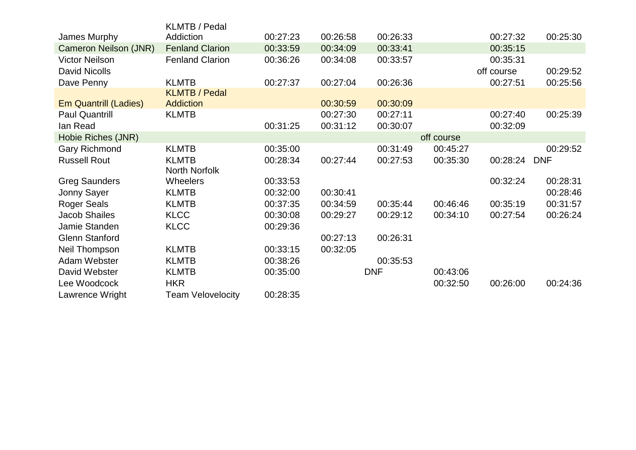|                              | <b>KLMTB / Pedal</b>     |          |          |            |            |            |            |
|------------------------------|--------------------------|----------|----------|------------|------------|------------|------------|
| James Murphy                 | Addiction                | 00:27:23 | 00:26:58 | 00:26:33   |            | 00:27:32   | 00:25:30   |
| <b>Cameron Neilson (JNR)</b> | <b>Fenland Clarion</b>   | 00:33:59 | 00:34:09 | 00:33:41   |            | 00:35:15   |            |
| <b>Victor Neilson</b>        | <b>Fenland Clarion</b>   | 00:36:26 | 00:34:08 | 00:33:57   |            | 00:35:31   |            |
| <b>David Nicolls</b>         |                          |          |          |            |            | off course | 00:29:52   |
| Dave Penny                   | <b>KLMTB</b>             | 00:27:37 | 00:27:04 | 00:26:36   |            | 00:27:51   | 00:25:56   |
|                              | <b>KLMTB / Pedal</b>     |          |          |            |            |            |            |
| <b>Em Quantrill (Ladies)</b> | Addiction                |          | 00:30:59 | 00:30:09   |            |            |            |
| <b>Paul Quantrill</b>        | <b>KLMTB</b>             |          | 00:27:30 | 00:27:11   |            | 00:27:40   | 00:25:39   |
| lan Read                     |                          | 00:31:25 | 00:31:12 | 00:30:07   |            | 00:32:09   |            |
| Hobie Riches (JNR)           |                          |          |          |            | off course |            |            |
| <b>Gary Richmond</b>         | <b>KLMTB</b>             | 00:35:00 |          | 00:31:49   | 00:45:27   |            | 00:29:52   |
| <b>Russell Rout</b>          | <b>KLMTB</b>             | 00:28:34 | 00:27:44 | 00:27:53   | 00:35:30   | 00:28:24   | <b>DNF</b> |
|                              | <b>North Norfolk</b>     |          |          |            |            |            |            |
| <b>Greg Saunders</b>         | <b>Wheelers</b>          | 00:33:53 |          |            |            | 00:32:24   | 00:28:31   |
| Jonny Sayer                  | <b>KLMTB</b>             | 00:32:00 | 00:30:41 |            |            |            | 00:28:46   |
| <b>Roger Seals</b>           | <b>KLMTB</b>             | 00:37:35 | 00:34:59 | 00:35:44   | 00:46:46   | 00:35:19   | 00:31:57   |
| <b>Jacob Shailes</b>         | <b>KLCC</b>              | 00:30:08 | 00:29:27 | 00:29:12   | 00:34:10   | 00:27:54   | 00:26:24   |
| Jamie Standen                | <b>KLCC</b>              | 00:29:36 |          |            |            |            |            |
| <b>Glenn Stanford</b>        |                          |          | 00:27:13 | 00:26:31   |            |            |            |
| Neil Thompson                | <b>KLMTB</b>             | 00:33:15 | 00:32:05 |            |            |            |            |
| Adam Webster                 | <b>KLMTB</b>             | 00:38:26 |          | 00:35:53   |            |            |            |
| David Webster                | <b>KLMTB</b>             | 00:35:00 |          | <b>DNF</b> | 00:43:06   |            |            |
| Lee Woodcock                 | <b>HKR</b>               |          |          |            | 00:32:50   | 00:26:00   | 00:24:36   |
| Lawrence Wright              | <b>Team Velovelocity</b> | 00:28:35 |          |            |            |            |            |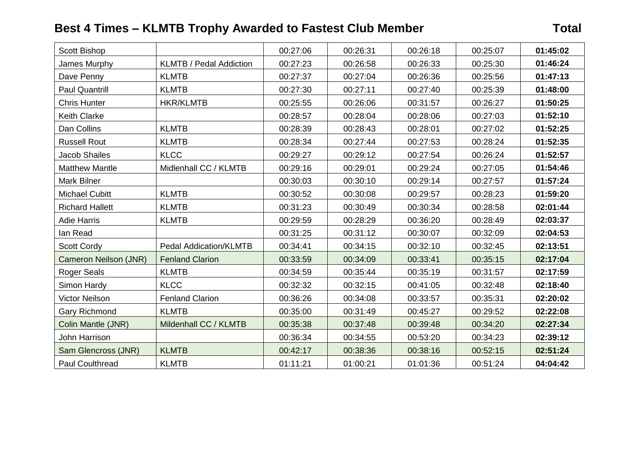## **Best 4 Times - KLMTB Trophy Awarded to Fastest Club Member**

| г.<br>۰.<br>٠<br>۰. |
|---------------------|
|---------------------|

| <b>Scott Bishop</b>    |                                | 00:27:06 | 00:26:31 | 00:26:18 | 00:25:07 | 01:45:02 |
|------------------------|--------------------------------|----------|----------|----------|----------|----------|
| James Murphy           | <b>KLMTB / Pedal Addiction</b> | 00:27:23 | 00:26:58 | 00:26:33 | 00:25:30 | 01:46:24 |
| Dave Penny             | <b>KLMTB</b>                   | 00:27:37 | 00:27:04 | 00:26:36 | 00:25:56 | 01:47:13 |
| <b>Paul Quantrill</b>  | <b>KLMTB</b>                   | 00:27:30 | 00:27:11 | 00:27:40 | 00:25:39 | 01:48:00 |
| <b>Chris Hunter</b>    | <b>HKR/KLMTB</b>               | 00:25:55 | 00:26:06 | 00:31:57 | 00:26:27 | 01:50:25 |
| Keith Clarke           |                                | 00:28:57 | 00:28:04 | 00:28:06 | 00:27:03 | 01:52:10 |
| Dan Collins            | <b>KLMTB</b>                   | 00:28:39 | 00:28:43 | 00:28:01 | 00:27:02 | 01:52:25 |
| <b>Russell Rout</b>    | <b>KLMTB</b>                   | 00:28:34 | 00:27:44 | 00:27:53 | 00:28:24 | 01:52:35 |
| <b>Jacob Shailes</b>   | <b>KLCC</b>                    | 00:29:27 | 00:29:12 | 00:27:54 | 00:26:24 | 01:52:57 |
| <b>Matthew Mantle</b>  | Midlenhall CC / KLMTB          | 00:29:16 | 00:29:01 | 00:29:24 | 00:27:05 | 01:54:46 |
| Mark Bilner            |                                | 00:30:03 | 00:30:10 | 00:29:14 | 00:27:57 | 01:57:24 |
| <b>Michael Cubitt</b>  | <b>KLMTB</b>                   | 00:30:52 | 00:30:08 | 00:29:57 | 00:28:23 | 01:59:20 |
| <b>Richard Hallett</b> | <b>KLMTB</b>                   | 00:31:23 | 00:30:49 | 00:30:34 | 00:28:58 | 02:01:44 |
| <b>Adie Harris</b>     | <b>KLMTB</b>                   | 00:29:59 | 00:28:29 | 00:36:20 | 00:28:49 | 02:03:37 |
| lan Read               |                                | 00:31:25 | 00:31:12 | 00:30:07 | 00:32:09 | 02:04:53 |
| <b>Scott Cordy</b>     | <b>Pedal Addication/KLMTB</b>  | 00:34:41 | 00:34:15 | 00:32:10 | 00:32:45 | 02:13:51 |
| Cameron Neilson (JNR)  | <b>Fenland Clarion</b>         | 00:33:59 | 00:34:09 | 00:33:41 | 00:35:15 | 02:17:04 |
| <b>Roger Seals</b>     | <b>KLMTB</b>                   | 00:34:59 | 00:35:44 | 00:35:19 | 00:31:57 | 02:17:59 |
| Simon Hardy            | <b>KLCC</b>                    | 00:32:32 | 00:32:15 | 00:41:05 | 00:32:48 | 02:18:40 |
| <b>Victor Neilson</b>  | <b>Fenland Clarion</b>         | 00:36:26 | 00:34:08 | 00:33:57 | 00:35:31 | 02:20:02 |
| Gary Richmond          | <b>KLMTB</b>                   | 00:35:00 | 00:31:49 | 00:45:27 | 00:29:52 | 02:22:08 |
| Colin Mantle (JNR)     | Mildenhall CC / KLMTB          | 00:35:38 | 00:37:48 | 00:39:48 | 00:34:20 | 02:27:34 |
| John Harrison          |                                | 00:36:34 | 00:34:55 | 00:53:20 | 00:34:23 | 02:39:12 |
| Sam Glencross (JNR)    | <b>KLMTB</b>                   | 00:42:17 | 00:38:36 | 00:38:16 | 00:52:15 | 02:51:24 |
| <b>Paul Coulthread</b> | <b>KLMTB</b>                   | 01:11:21 | 01:00:21 | 01:01:36 | 00:51:24 | 04:04:42 |